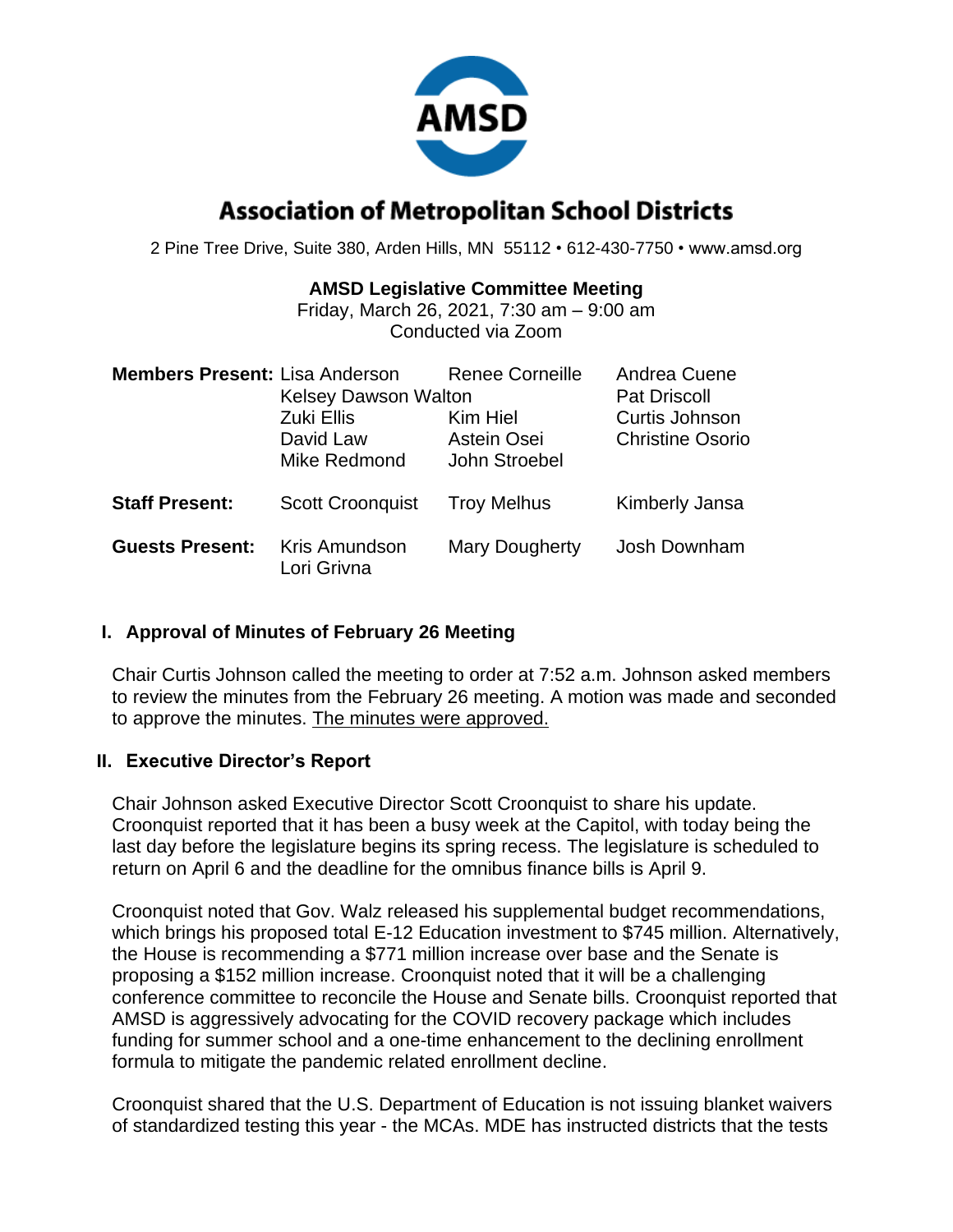

# **Association of Metropolitan School Districts**

2 Pine Tree Drive, Suite 380, Arden Hills, MN 55112 • 612-430-7750 • www.amsd.org

### **AMSD Legislative Committee Meeting**

Friday, March 26, 2021, 7:30 am – 9:00 am Conducted via Zoom

| <b>Members Present: Lisa Anderson</b> | <b>Kelsey Dawson Walton</b><br>Zuki Ellis<br>David Law<br>Mike Redmond | <b>Renee Corneille</b><br>Kim Hiel<br>Astein Osei<br>John Stroebel | Andrea Cuene<br><b>Pat Driscoll</b><br>Curtis Johnson<br><b>Christine Osorio</b> |
|---------------------------------------|------------------------------------------------------------------------|--------------------------------------------------------------------|----------------------------------------------------------------------------------|
| <b>Staff Present:</b>                 | <b>Scott Croonquist</b>                                                | <b>Troy Melhus</b>                                                 | Kimberly Jansa                                                                   |
| <b>Guests Present:</b>                | Kris Amundson<br>Lori Grivna                                           | <b>Mary Dougherty</b>                                              | Josh Downham                                                                     |

### **I. Approval of Minutes of February 26 Meeting**

Chair Curtis Johnson called the meeting to order at 7:52 a.m. Johnson asked members to review the minutes from the February 26 meeting. A motion was made and seconded to approve the minutes. The minutes were approved.

### **II. Executive Director's Report**

Chair Johnson asked Executive Director Scott Croonquist to share his update. Croonquist reported that it has been a busy week at the Capitol, with today being the last day before the legislature begins its spring recess. The legislature is scheduled to return on April 6 and the deadline for the omnibus finance bills is April 9.

Croonquist noted that Gov. Walz released his supplemental budget recommendations, which brings his proposed total E-12 Education investment to \$745 million. Alternatively, the House is recommending a \$771 million increase over base and the Senate is proposing a \$152 million increase. Croonquist noted that it will be a challenging conference committee to reconcile the House and Senate bills. Croonquist reported that AMSD is aggressively advocating for the COVID recovery package which includes funding for summer school and a one-time enhancement to the declining enrollment formula to mitigate the pandemic related enrollment decline.

Croonquist shared that the U.S. Department of Education is not issuing blanket waivers of standardized testing this year - the MCAs. MDE has instructed districts that the tests